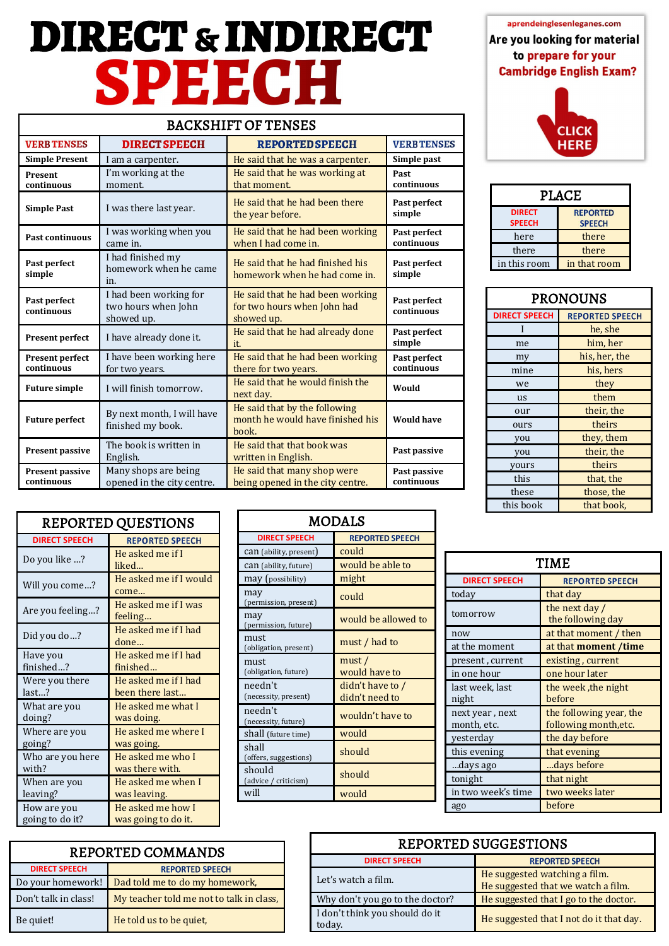# **DIRECT** & **INDIRECT**<br> **ECT** Are you looking for material to prepare for your<br> **SPEECH**

|                                      |                                                             | <b>BACKSHIFT OF TENSES</b>                                                    |                            |
|--------------------------------------|-------------------------------------------------------------|-------------------------------------------------------------------------------|----------------------------|
| <b>VERB TENSES</b>                   | <b>DIRECT SPEECH</b>                                        | <b>REPORTED SPEECH</b>                                                        | <b>VERBTENSES</b>          |
| <b>Simple Present</b>                | I am a carpenter.                                           | He said that he was a carpenter.                                              | Simple past                |
| Present<br>continuous                | I'm working at the<br>moment.                               | He said that he was working at<br>that moment.                                | Past<br>continuous         |
| <b>Simple Past</b>                   | I was there last year.                                      | He said that he had been there<br>the year before.                            | Past perfect<br>simple     |
| <b>Past continuous</b>               | I was working when you<br>came in.                          | He said that he had been working<br>when I had come in.                       | Past perfect<br>continuous |
| Past perfect<br>simple               | I had finished my<br>homework when he came<br>in.           | He said that he had finished his<br>homework when he had come in.             | Past perfect<br>simple     |
| Past perfect<br>continuous           | I had been working for<br>two hours when John<br>showed up. | He said that he had been working<br>for two hours when John had<br>showed up. | Past perfect<br>continuous |
| Present perfect                      | I have already done it.                                     | He said that he had already done<br>it.                                       | Past perfect<br>simple     |
| <b>Present perfect</b><br>continuous | I have been working here<br>for two years.                  | He said that he had been working<br>there for two years.                      | Past perfect<br>continuous |
| <b>Future simple</b>                 | I will finish tomorrow.                                     | He said that he would finish the<br>next day.                                 | Would                      |
| <b>Future perfect</b>                | By next month, I will have<br>finished my book.             | He said that by the following<br>month he would have finished his<br>book.    | <b>Would have</b>          |
| Present passive                      | The book is written in<br>English.                          | He said that that book was<br>written in English.                             | Past passive               |
| <b>Present passive</b><br>continuous | Many shops are being<br>opened in the city centre.          | He said that many shop were<br>being opened in the city centre.               | Past passive<br>continuous |

**Cambridge English Exam?** 



| <b>PLACE</b>                   |                                  |
|--------------------------------|----------------------------------|
| <b>DIRECT</b><br><b>SPEECH</b> | <b>REPORTED</b><br><b>SPEECH</b> |
| here                           | there                            |
| there                          | there                            |
| in this room                   | in that room                     |

| <b>PRONOUNS</b>      |                        |
|----------------------|------------------------|
| <b>DIRECT SPEECH</b> | <b>REPORTED SPEECH</b> |
|                      | he, she                |
| me                   | him, her               |
| my                   | his, her, the          |
| mine                 | his, hers              |
| we                   | they                   |
| us                   | them                   |
| our                  | their, the             |
| ours                 | theirs                 |
| you                  | they, them             |
| you                  | their, the             |
| yours                | theirs                 |
| this                 | that, the              |
| these                | those, the             |
| this book            | that book,             |

| <b>REPORTED QUESTIONS</b>                                  |                                          |  | MOD                                                    |  |
|------------------------------------------------------------|------------------------------------------|--|--------------------------------------------------------|--|
| <b>DIRECT SPEECH</b><br><b>REPORTED SPEECH</b>             |                                          |  | <b>DIRECT SPEECH</b>                                   |  |
| Do you like ?                                              | He asked me if I<br>liked                |  | <b>can</b> (ability, present)<br>can (ability, future) |  |
| Will you come?                                             | He asked me if I would<br>come           |  | may (possibility)<br>may                               |  |
| Are you feeling?                                           | He asked me if I was<br>feeling          |  | (permission, present)<br>may                           |  |
| Did you do?                                                | He asked me if I had<br>done             |  | (permission, future)<br>must<br>(obligation, present)  |  |
| Have you<br>finished?                                      | He asked me if I had<br>finished         |  | must<br>(obligation, future)                           |  |
| Were you there<br>last?                                    | He asked me if I had<br>been there last  |  | needn't<br>(necessity, present)                        |  |
| He asked me what I<br>What are you<br>doing?<br>was doing. |                                          |  | needn't<br>(necessity, future)                         |  |
| Where are you<br>going?                                    | He asked me where I<br>was going.        |  | shall (future time)<br>shall                           |  |
| Who are you here<br>with?                                  | He asked me who I<br>was there with.     |  | (offers, suggestions)<br>should                        |  |
| When are you<br>leaving?                                   | He asked me when I<br>was leaving.       |  | (advice / criticism)<br>will                           |  |
| How are you<br>going to do it?                             | He asked me how I<br>was going to do it. |  |                                                        |  |

| <b>MODALS</b>                   |                                    |                                 |
|---------------------------------|------------------------------------|---------------------------------|
| <b>DIRECT SPEECH</b>            | <b>REPORTED SPEECH</b>             |                                 |
| <b>can</b> (ability, present)   | could                              |                                 |
| Can (ability, future)           | would be able to                   |                                 |
| may (possibility)               | might                              | <b>DIRECT SPEECH</b>            |
| may<br>(permission, present)    | could                              | today                           |
| may<br>(permission, future)     | would be allowed to                | tomorrow                        |
| must<br>(obligation, present)   | must / had to                      | now<br>at the moment            |
| must<br>(obligation, future)    | must/<br>would have to             | present, current<br>in one hour |
| needn't<br>(necessity, present) | didn't have to /<br>didn't need to | last week, last<br>night        |
| needn't<br>(necessity, future)  | wouldn't have to                   | next year, next<br>month, etc.  |
| shall (future time)             | would                              | yesterday                       |
| shall<br>(offers, suggestions)  | should                             | this evening                    |
| should<br>(advice / criticism)  | should                             | days ago<br>tonight             |
| will                            | would                              | in two week's tim               |
|                                 |                                    | 300                             |

| <b>DIRECT SPEECH</b><br><b>REPORTED SPEECH</b><br>that day<br>today<br>the next day /<br>tomorrow<br>the following day<br>at that moment / then<br>now<br>at that moment /time<br>at the moment<br>present, current<br>existing, current<br>in one hour<br>one hour later<br>the week, the night<br>last week, last<br>before<br>night<br>the following year, the<br>next year, next<br>following month, etc.<br>month, etc.<br>the day before<br>yesterday<br>this evening<br>that evening<br>days before<br>days ago<br>that night<br>tonight<br>in two week's time<br>two weeks later<br>before<br>ago | TIME |  |  |
|-----------------------------------------------------------------------------------------------------------------------------------------------------------------------------------------------------------------------------------------------------------------------------------------------------------------------------------------------------------------------------------------------------------------------------------------------------------------------------------------------------------------------------------------------------------------------------------------------------------|------|--|--|
|                                                                                                                                                                                                                                                                                                                                                                                                                                                                                                                                                                                                           |      |  |  |
|                                                                                                                                                                                                                                                                                                                                                                                                                                                                                                                                                                                                           |      |  |  |
|                                                                                                                                                                                                                                                                                                                                                                                                                                                                                                                                                                                                           |      |  |  |
|                                                                                                                                                                                                                                                                                                                                                                                                                                                                                                                                                                                                           |      |  |  |
|                                                                                                                                                                                                                                                                                                                                                                                                                                                                                                                                                                                                           |      |  |  |
|                                                                                                                                                                                                                                                                                                                                                                                                                                                                                                                                                                                                           |      |  |  |
|                                                                                                                                                                                                                                                                                                                                                                                                                                                                                                                                                                                                           |      |  |  |
|                                                                                                                                                                                                                                                                                                                                                                                                                                                                                                                                                                                                           |      |  |  |
|                                                                                                                                                                                                                                                                                                                                                                                                                                                                                                                                                                                                           |      |  |  |
|                                                                                                                                                                                                                                                                                                                                                                                                                                                                                                                                                                                                           |      |  |  |
|                                                                                                                                                                                                                                                                                                                                                                                                                                                                                                                                                                                                           |      |  |  |
|                                                                                                                                                                                                                                                                                                                                                                                                                                                                                                                                                                                                           |      |  |  |
|                                                                                                                                                                                                                                                                                                                                                                                                                                                                                                                                                                                                           |      |  |  |
|                                                                                                                                                                                                                                                                                                                                                                                                                                                                                                                                                                                                           |      |  |  |
|                                                                                                                                                                                                                                                                                                                                                                                                                                                                                                                                                                                                           |      |  |  |

| REPORTED COMMANDS                                   |                                          |  | <b>REPO</b>                           |
|-----------------------------------------------------|------------------------------------------|--|---------------------------------------|
|                                                     |                                          |  | <b>DIRECT SPEECH</b>                  |
| <b>DIRECT SPEECH</b>                                | <b>REPORTED SPEECH</b>                   |  |                                       |
| Dad told me to do my homework,<br>Do your homework! |                                          |  | Let's watch a film.                   |
| Don't talk in class!                                | My teacher told me not to talk in class, |  | Why don't you go to the do            |
| Be quiet!                                           | He told us to be quiet,                  |  | I don't think you should do<br>today. |

| REPORTED COMMANDS    |                                          |  | <b>REPORTED SUGGESTIONS</b>              |                                         |  |
|----------------------|------------------------------------------|--|------------------------------------------|-----------------------------------------|--|
|                      |                                          |  | <b>DIRECT SPEECH</b>                     | <b>REPORTED SPEECH</b>                  |  |
| <b>DIRECT SPEECH</b> | <b>REPORTED SPEECH</b>                   |  |                                          | He suggested watching a film.           |  |
| Do your homework!    | Dad told me to do my homework,           |  | Let's watch a film.                      | He suggested that we watch a film.      |  |
| Don't talk in class! | My teacher told me not to talk in class, |  | Why don't you go to the doctor?          | He suggested that I go to the doctor.   |  |
| Be quiet!            | He told us to be quiet,                  |  | I don't think you should do it<br>today. | He suggested that I not do it that day. |  |